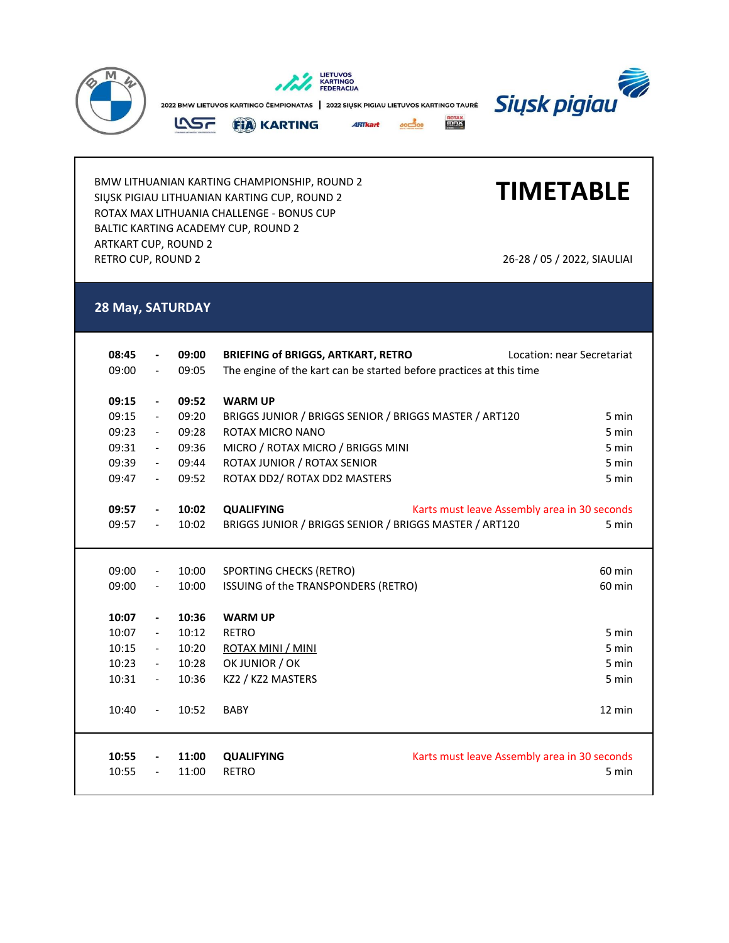

BMW LITHUANIAN KARTING CHAMPIONSHIP, ROUND 2 SIŲSK PIGIAU LITHUANIAN KARTING CUP, ROUND 2 ROTAX MAX LITHUANIA CHALLENGE - BONUS CUP BALTIC KARTING ACADEMY CUP, ROUND 2 ARTKART CUP, ROUND 2 RETRO CUP, ROUND 2 26-28 / 05 / 2022, SIAULIAI

## **TIMETABLE**

## **28 May, SATURDAY**

| 08:45 |                          | 09:00 | <b>BRIEFING of BRIGGS, ARTKART, RETRO</b>                           | Location: near Secretariat                   |  |  |
|-------|--------------------------|-------|---------------------------------------------------------------------|----------------------------------------------|--|--|
| 09:00 | $\overline{\phantom{a}}$ | 09:05 | The engine of the kart can be started before practices at this time |                                              |  |  |
|       |                          |       |                                                                     |                                              |  |  |
| 09:15 | $\overline{\phantom{a}}$ | 09:52 | <b>WARM UP</b>                                                      |                                              |  |  |
| 09:15 | $\overline{\phantom{a}}$ | 09:20 | BRIGGS JUNIOR / BRIGGS SENIOR / BRIGGS MASTER / ART120              | 5 min                                        |  |  |
| 09:23 | $ \,$                    | 09:28 | ROTAX MICRO NANO                                                    | 5 min                                        |  |  |
| 09:31 | $ \,$                    | 09:36 | MICRO / ROTAX MICRO / BRIGGS MINI                                   | 5 min                                        |  |  |
| 09:39 | $\overline{\phantom{a}}$ | 09:44 | ROTAX JUNIOR / ROTAX SENIOR                                         | 5 min                                        |  |  |
| 09:47 | $\overline{\phantom{a}}$ | 09:52 | ROTAX DD2/ ROTAX DD2 MASTERS                                        | 5 min                                        |  |  |
|       |                          |       |                                                                     |                                              |  |  |
| 09:57 | $\overline{\phantom{a}}$ | 10:02 | <b>QUALIFYING</b>                                                   | Karts must leave Assembly area in 30 seconds |  |  |
| 09:57 | $\overline{\phantom{a}}$ | 10:02 | BRIGGS JUNIOR / BRIGGS SENIOR / BRIGGS MASTER / ART120              | 5 min                                        |  |  |
|       |                          |       |                                                                     |                                              |  |  |
|       |                          |       |                                                                     |                                              |  |  |
| 09:00 | $\overline{\phantom{a}}$ | 10:00 | SPORTING CHECKS (RETRO)                                             | 60 min                                       |  |  |
| 09:00 | $\overline{\phantom{a}}$ | 10:00 | ISSUING of the TRANSPONDERS (RETRO)                                 | 60 min                                       |  |  |
|       |                          |       |                                                                     |                                              |  |  |
| 10:07 | $\overline{\phantom{a}}$ | 10:36 | <b>WARM UP</b>                                                      |                                              |  |  |
| 10:07 | $\overline{\phantom{a}}$ | 10:12 | <b>RETRO</b>                                                        | 5 min                                        |  |  |
| 10:15 | $\overline{\phantom{a}}$ | 10:20 | ROTAX MINI / MINI                                                   | 5 min                                        |  |  |
| 10:23 | $\overline{\phantom{a}}$ | 10:28 | OK JUNIOR / OK                                                      | 5 min                                        |  |  |
| 10:31 | $\overline{\phantom{a}}$ | 10:36 | KZ2 / KZ2 MASTERS                                                   | 5 min                                        |  |  |
|       |                          |       |                                                                     |                                              |  |  |
| 10:40 | $\overline{\phantom{a}}$ | 10:52 | <b>BABY</b>                                                         | 12 min                                       |  |  |
|       |                          |       |                                                                     |                                              |  |  |
|       |                          |       |                                                                     |                                              |  |  |
| 10:55 |                          | 11:00 | <b>QUALIFYING</b>                                                   | Karts must leave Assembly area in 30 seconds |  |  |
|       |                          |       |                                                                     |                                              |  |  |
| 10:55 | $\overline{\phantom{a}}$ | 11:00 | <b>RETRO</b>                                                        | 5 min                                        |  |  |